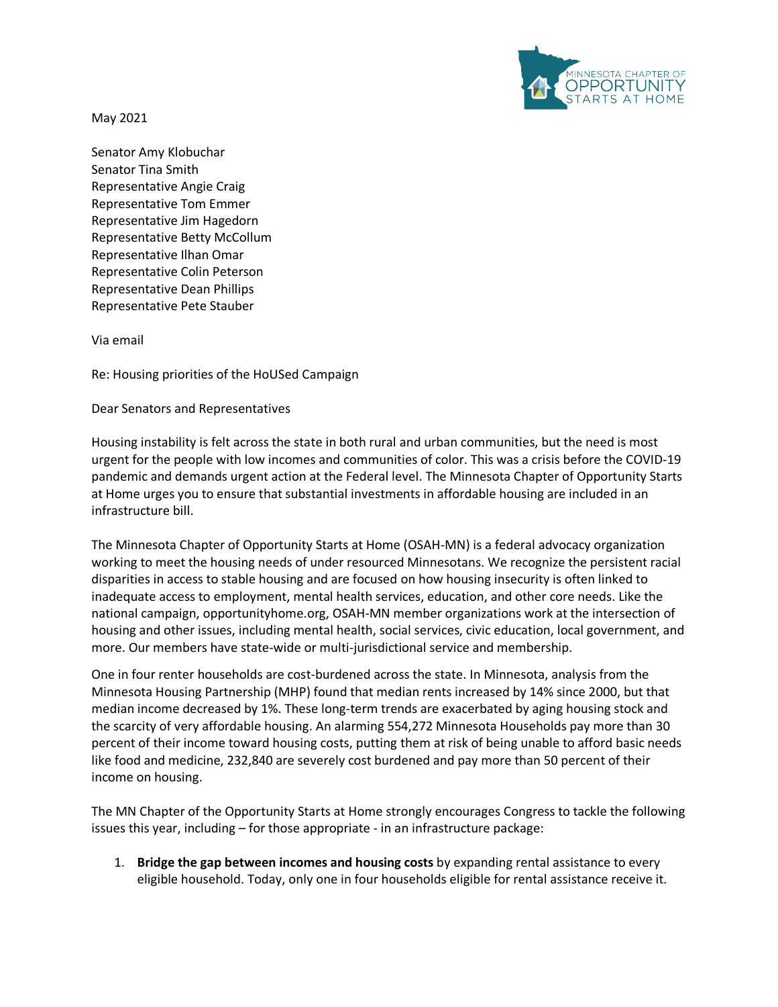

May 2021

Senator Amy Klobuchar Senator Tina Smith Representative Angie Craig Representative Tom Emmer Representative Jim Hagedorn Representative Betty McCollum Representative Ilhan Omar Representative Colin Peterson Representative Dean Phillips Representative Pete Stauber

Via email

Re: Housing priorities of the HoUSed Campaign

Dear Senators and Representatives

Housing instability is felt across the state in both rural and urban communities, but the need is most urgent for the people with low incomes and communities of color. This was a crisis before the COVID-19 pandemic and demands urgent action at the Federal level. The Minnesota Chapter of Opportunity Starts at Home urges you to ensure that substantial investments in affordable housing are included in an infrastructure bill.

The Minnesota Chapter of Opportunity Starts at Home (OSAH-MN) is a federal advocacy organization working to meet the housing needs of under resourced Minnesotans. We recognize the persistent racial disparities in access to stable housing and are focused on how housing insecurity is often linked to inadequate access to employment, mental health services, education, and other core needs. Like the national campaign, opportunityhome.org, OSAH-MN member organizations work at the intersection of housing and other issues, including mental health, social services, civic education, local government, and more. Our members have state-wide or multi-jurisdictional service and membership.

One in four renter households are cost-burdened across the state. In Minnesota, analysis from the Minnesota Housing Partnership (MHP) found that median rents increased by 14% since 2000, but that median income decreased by 1%. These long-term trends are exacerbated by aging housing stock and the scarcity of very affordable housing. An alarming 554,272 Minnesota Households pay more than 30 percent of their income toward housing costs, putting them at risk of being unable to afford basic needs like food and medicine, 232,840 are severely cost burdened and pay more than 50 percent of their income on housing.

The MN Chapter of the Opportunity Starts at Home strongly encourages Congress to tackle the following issues this year, including – for those appropriate - in an infrastructure package:

1. **Bridge the gap between incomes and housing costs** by expanding rental assistance to every eligible household. Today, only one in four households eligible for rental assistance receive it.